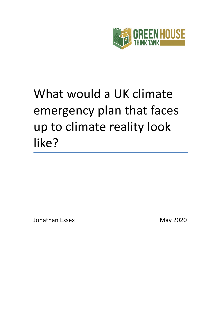

Jonathan Essex May 2020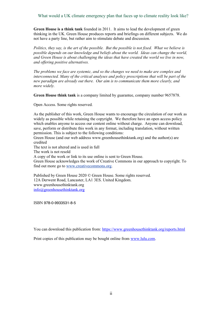**Green House is a think tank** founded in 2011. It aims to lead the development of green thinking in the UK. Green House produces reports and briefings on different subjects. We do not have a party line, but rather aim to stimulate debate and discussion.

*Politics, they say, is the art of the possible. But the possible is not fixed. What we believe is possible depends on our knowledge and beliefs about the world. Ideas can change the world, and Green House is about challenging the ideas that have created the world we live in now, and offering positive alternatives.*

*The problems we face are systemic, and so the changes we need to make are complex and interconnected. Many of the critical analyses and policy prescriptions that will be part of the new paradigm are already out there. Our aim is to communicate them more clearly, and more widely.*

**Green House think tank** is a company limited by guarantee, company number 9657878.

Open Access. Some rights reserved.

As the publisher of this work, Green House wants to encourage the circulation of our work as widely as possible while retaining the copyright. We therefore have an open access policy which enables anyone to access our content online without charge. Anyone can download, save, perform or distribute this work in any format, including translation, without written permission. This is subject to the following conditions:

Green House (and our web address www.greenhousethinktank.org) and the author(s) are credited

The text is not altered and is used in full

The work is not resold

A copy of the work or link to its use online is sent to Green House.

Green House acknowledges the work of Creative Commons in our approach to copyright. To find out more go to [www.creativecommons.org](http://www.creativecommons.org/).

Published by Green House 2020 © Green House. Some rights reserved. 12A Derwent Road, Lancaster, LA1 3ES. United Kingdom. www.greenhousethinktank.org [info@greenhousethinktank.org](mailto:info@greenhousethinktank.org)

ISBN 978-0-9933531-8-5

You can download this publication from: <https://www.greenhousethinktank.org/reports.html>

Print copies of this publication may be bought online from [www.lulu.com.](http://www.lulu.com/)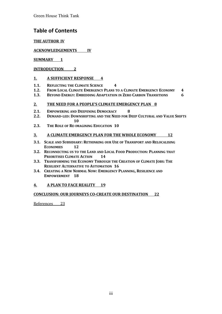## **Table of Contents**

#### **THE AUTHOR [IV](#page-3-1)**

#### **ACKNOWLEDGEMENTS [IV](#page-3-0)**

#### **SUMMARY [1](#page-4-0)**

#### **INTRODUCTION [2](#page-5-0)**

#### **1. A SUFFICIENT RESPONSE [4](#page-7-2)**

- **1.1. REFLECTING THE CLIMATE SCIENCE [4](#page-7-1)**
- **1.2. FROM LOCAL CLIMATE EMERGENCY PLANS TO A CLIMATE EMERGENCY ECONOMY [4](#page-7-0)**
- **1.3. BEYOND ENERGY: EMBEDDING ADAPTATION IN ZERO CARBON TRANSITIONS [6](#page-9-0)**

#### **2. THE NEED FOR A PEOPLE'S CLIMATE EMERGENCY PLAN [8](#page-11-1)**

- **2.1. EMPOWERING AND DEEPENING DEMOCRACY [8](#page-11-0)**
- **2.2. DEMAND-LED: DOWNSHIFTING AND THE NEED FOR DEEP CULTURAL AND VALUE SHIFTS [10](#page-13-1)**
- **2.3. THE ROLE OF RE-IMAGINING EDUCATION [10](#page-13-0)**

#### **3. A CLIMATE EMERGENCY PLAN FOR THE WHOLE ECONOMY [12](#page-14-0)**

- **3.1. SCALE AND SUBSIDIARY: RETHINKING OUR USE OF TRANSPORT AND RELOCALISING ECONOMIES [12](#page-15-0)**
- **3.2. RECONNECTING US TO THE LAND AND LOCAL FOOD PRODUCTION: PLANNING THAT PRIORITISES CLIMATE ACTION [14](#page-17-0)**
- **3.3. TRANSFORMING THE ECONOMY THROUGH THE CREATION OF CLIMATE JOBS: THE RESILIENT ALTERNATIVE TO AUTOMATION [16](#page-19-0)**
- **3.4. CREATING A NEW NORMAL NOW: EMERGENCY PLANNING, RESILIENCE AND EMPOWERMENT [18](#page-21-0)**

#### **4. A PLAN TO FACE REALITY [19](#page-22-0)**

#### **CONCLUSION: OUR JOURNEYS CO-CREATE OUR DESTINATION [22](#page-24-0)**

References [23](#page-25-0)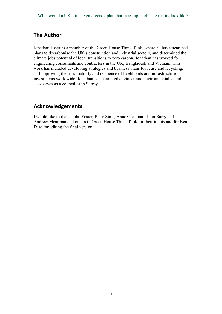## <span id="page-3-1"></span>**The Author**

Jonathan Essex is a member of the Green House Think Tank, where he has researched plans to decarbonise the UK's construction and industrial sectors, and determined the climate jobs potential of local transitions to zero carbon. Jonathan has worked for engineering consultants and contractors in the UK, Bangladesh and Vietnam. This work has included developing strategies and business plans for reuse and recycling, and improving the sustainability and resilience of livelihoods and infrastructure investments worldwide. Jonathan is a chartered engineer and environmentalist and also serves as a councillor in Surrey.

## <span id="page-3-0"></span>**Acknowledgements**

I would like to thank John Foster, Peter Sims, Anne Chapman, John Barry and Andrew Mearman and others in Green House Think Tank for their inputs and for Ben Dare for editing the final version.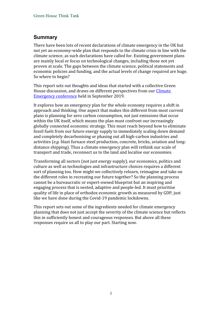## <span id="page-4-0"></span>**Summary**

There have been lots of recent declarations of climate emergency in the UK but not yet an economy-wide plan that responds to the climate crisis in line with the climate science, as such declarations have called for. Existing government plans are mainly local or focus on technological changes, including those not yet proven at scale. The gaps between the climate science, political statements and economic policies and funding, and the actual levels of change required are huge. So where to begin?

This report sets out thoughts and ideas that started with a collective Green House discussion, and draws on different perspectives from our [Climate](https://www.greenhousethinktank.org/climate-emergency-conference.html)  [Emergency conference](https://www.greenhousethinktank.org/climate-emergency-conference.html) held in September 2019.

It explores how an emergency plan for the whole economy requires a shift in approach and thinking. One aspect that makes this different from most current plans is planning for zero carbon consumption, not just emissions that occur within the UK itself, which means the plan must confront our increasingly globally connected economic strategy. This must reach beyond how to eliminate fossil fuels from our future energy supply to immediately scaling down demand and completely decarbonising or phasing out all high-carbon industries and activities (*e.g.* blast furnace steel production, concrete, bricks, aviation and longdistance shipping). Thus a climate emergency plan will rethink our scale of transport and trade, reconnect us to the land and localise our economies.

Transforming all sectors (not just energy supply), our economics, politics and culture as well as technologies and infrastructure choices requires a different sort of planning too. How might we collectively relearn, reimagine and take on the different roles in recreating our future together? So the planning process cannot be a bureaucratic or expert-owned blueprint but an inspiring and engaging process that is nested, adaptive and people-led. It must prioritise quality of life in place of orthodox economic growth as measured by GDP, just like we have done during the Covid-19 pandemic lockdowns.

This report sets out some of the ingredients needed for climate emergency planning that does not just accept the severity of the climate science but reflects this in sufficiently honest and courageous responses. But above all these responses require us all to play our part. Starting now.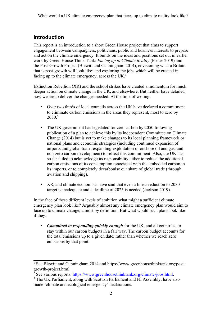# <span id="page-5-0"></span>**Introduction**

This report is an introduction to a short Green House project that aims to support engagement between campaigners, politicians, public and business interests to prepare and act on the climate emergency. It builds on the ideas and positions set out in earlier work by Green House Think Tank: *Facing up to Climate Reality* (Foster 2019) and the Post-Growth Project (Blewitt and Cunningham 2014), envisioning what a Britain that is post-growth will look like<sup>[1](#page-5-1)</sup> and exploring the jobs which will be created in facing up to the climate emergency, across the UK.<sup>[2](#page-5-2)</sup>

Extinction Rebellion (XR) and the school strikes have created a momentum for much deeper action on climate change in the UK, and elsewhere. But neither have detailed how we are to deliver the changes needed. At the time of writing:

- Over two thirds of local councils across the UK have declared a commitment to eliminate carbon emissions in the areas they represent, most to zero by 2030.[3](#page-5-3)
- The UK government has legislated for zero carbon by 2050 following publication of a plan to achieve this by its independent Committee on Climate Change (2014) but is yet to make changes to its local planning framework or national plans and economic strategies (including continued expansion of airports and global trade, expanding exploitation of onshore oil and gas, and non-zero carbon development) to reflect this commitment. Also, the UK has so far failed to acknowledge its responsibility either to reduce the additional carbon emissions of its consumption associated with the embedded carbon in its imports, or to completely decarbonise our share of global trade (through aviation and shipping).
- XR, and climate economists have said that even a linear reduction to 2030 target is inadequate and a deadline of 2025 is needed (Jackson 2019).

In the face of these different levels of ambition what might a sufficient climate emergency plan look like? Arguably almost any climate emergency plan would aim to face up to climate change, almost by definition. But what would such plans look like if they:

 *Committed to responding quickly enough* for the UK, and all countries, to stay within our carbon budgets in a fair way. The carbon budget accounts for the total emissions up to a given date; rather than whether we reach zero emissions by that point.

<span id="page-5-1"></span><sup>&</sup>lt;sup>1</sup> See Blewitt and Cunningham 2014 and [https://www.greenhousethinktank.org/post](https://www.greenhousethinktank.org/post-growth-project.html)[growth-project.html](https://www.greenhousethinktank.org/post-growth-project.html).

<span id="page-5-2"></span><sup>&</sup>lt;sup>2</sup> See various reports: [https://www.greenhousethinktank.org/climate-jobs.html.](https://www.greenhousethinktank.org/climate-jobs.html)

<span id="page-5-3"></span><sup>&</sup>lt;sup>3</sup> The UK Parliament, along with Scottish Parliament and NI Assembly, have also made 'climate and ecological emergency' declarations.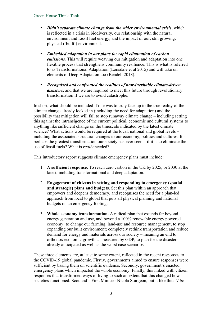- *Didn't separate climate change from the wider environmental crisis*, which is reflected in a crisis in biodiversity, our relationship with the natural environment and fossil fuel energy, and the impact of our, still growing, physical ('built') environment.
- *Embedded adaptation in our plans for rapid elimination of carbon emissions*. This will require weaving our mitigation and adaptation into one flexible process that strengthens community resilience. This is what is referred to as Transformational Adaptation (Lonsdale et al 2015) and will take on elements of Deep Adaptation too (Bendell 2018).
- *Recognised and confronted the realities of now-inevitable climate-driven disasters*, and that we are required to meet this future through revolutionary transformation if we are to avoid catastrophe.

In short, what should be included if one was to truly face up to the true reality of the climate change already locked-in (including the need for adaptation) and the possibility that mitigation will fail to stop runaway climate change – including setting this against the intransigence of the current political, economic and cultural systems to anything like sufficient change on the timescale indicated by the latest climate science? What actions would be required at the local, national and global levels – including the associated structural changes to our economy, politics and cultures, for perhaps the greatest transformation our society has ever seen – if it is to eliminate the use of fossil fuels? What is *really* needed?

This introductory report suggests climate emergency plans must include:

- 1. **A sufficient response.** To reach zero carbon in the UK by 2025, or 2030 at the latest, including transformational and deep adaptation.
- 2. **Engagement of citizens in setting and responding to emergency (spatial and strategic) plans and budgets.** Set this plan within an approach that empowers and deepens democracy, and recognises the need for a plan-led approach from local to global that puts all physical planning and national budgets on an emergency footing.
- 3. **Whole economy transformation.** A radical plan that extends far beyond energy generation and use, and beyond a 100% renewable energy powered economy: to change our farming, land-use and resource management; to stop expanding our built environment; completely rethink transportation and reduce demand for energy and materials across our society – meaning an end to orthodox economic growth as measured by GDP; to plan for the disasters already anticipated as well as the worst case scenarios.

These three elements are, at least to some extent, reflected in the recent responses to the COVID-19 global pandemic. Firstly, governments aimed to ensure responses were sufficient by basing them on scientific evidence. Secondly, government's enacted emergency plans which impacted the whole economy. Finally, this linked with citizen responses that transformed ways of living to such an extent that this changed how societies functioned. Scotland's First Minister Nicola Sturgeon, put it like this: '*Life*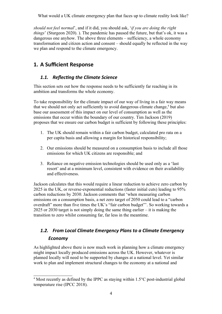*should not feel normal*', and if it did, you should ask, '*if you are doing the right things*' (Sturgeon 2020). ). The pandemic has paused the future, but that's ok, it was a dangerous one anyhow. The above three elements – sufficiency, a whole economy transformation and citizen action and consent – should equally be reflected in the way we plan and respond to the climate emergency.

# <span id="page-7-2"></span>**1. A Sufficient Response**

## <span id="page-7-1"></span>*1.1. Reflecting the Climate Science*

This section sets out how the response needs to be sufficiently far reaching in its ambition and transforms the whole economy.

To take responsibility for the climate impact of our way of living in a fair way means that we should not only act sufficiently to avoid dangerous climate change,<sup>[4](#page-7-3)</sup> but also base our assessment of this impact on our level of consumption as well as the emissions that occur within the boundary of our country. Tim Jackson (2019) proposes that we ensure our carbon budget is sufficient by following these principles:

- 1. The UK should remain within a fair carbon budget, calculated pro rata on a per capita basis and allowing a margin for historical responsibility;
- 2. Our emissions should be measured on a consumption basis to include all those emissions for which UK citizens are responsible; and
- 3. Reliance on negative emission technologies should be used only as a 'last resort' and at a minimum level, consistent with evidence on their availability and effectiveness.

Jackson calculates that this would require a linear reduction to achieve zero carbon by 2025 in the UK, or reverse-exponential reductions (faster initial cuts) leading to 95% carbon reductions by 2030. Jackson comments that 'when measuring carbon emissions on a consumption basis, a net zero target of 2050 could lead to a "carbon overdraft" more than five times the UK's "fair carbon budget"'. So working towards a 2025 or 2030 target is not simply doing the same thing earlier – it is making the transition to zero whilst consuming far, far less in the meantime.

# <span id="page-7-0"></span>*1.2. From Local Climate Emergency Plans to a Climate Emergency Economy*

As highlighted above there is now much work in planning how a climate emergency might impact locally produced emissions across the UK. However, whatever is planned locally will need to be supported by changes at a national level. Yet similar work to plan and implement structural changes to the economy at a national and

<span id="page-7-3"></span><sup>&</sup>lt;sup>4</sup> Most recently as defined by the IPPC as staying within 1.5°C post-industrial global temperature rise (IPCC 2018).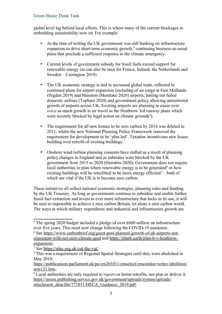global level lag behind local efforts. This is where many of the current blockages to embedding sustainability now sit. For example:

- At the time of writing the UK government was still banking on infrastructure  $expansion$  to drive short-term economic growth,<sup>[5](#page-8-0)</sup> continuing business-as-usual plans that preclude a sufficient response to the climate emergency.
- Current levels of government subsidy for fossil fuels exceed support for renewable energy (as can also be seen for France, Ireland, the Netherlands and Sweden – Carrington 2019).
- The UK economic strategy is tied to increased global trade, reflected in continued plans for airport expansion (including of air cargo at East Midlands (Pegden 2019) and Manston (Montlake 2020) airports, bailing out failed domestic airlines (Topham 2020) and government policy allowing unrestricted growth of airports across UK. Existing airports are planning to cause over *twice* as much growth in air travel as the Heathrow 3rd runway plans which were recently blocked by legal action on climate grounds<sup>[6](#page-8-1)</sup>).
- The requirement for all new homes to be zero carbon by 2016 was deleted in 2011, whilst the new National Planning Policy Framework removed the requirement for development to be 'plan led'. Taxation incentivises new house building over retrofit of existing buildings.<sup>[7](#page-8-2)</sup>
- Onshore wind turbine planning consents have stalled as a result of planning policy changes in England and as subsidies were blocked by the UK government from 2015 to 2020 (Harrabin 2020). Government does not require local authorities to plan where renewable energy is to be generated $8$  or how existing buildings will be retrofitted to be more energy efficient $9 9 -$ both of which are vital if the UK is to become zero carbon.

These initiatives all reflect national economic strategies, planning rules and funding by the UK Treasury. As long as governments continue to subsidise and enable further fossil fuel extraction and invest in ever more infrastructure that locks in its use, it will be next to impossible to achieve a zero carbon Britain, let alone a zero carbon world. The ways in which military expenditure and industrial and infrastructure growth are

<span id="page-8-0"></span><sup>&</sup>lt;sup>5</sup> The spring 2020 budget included a pledge of over £600 million on infrastructure over five years. This must now change following the COVID-19 pandemic.

<span id="page-8-1"></span><sup>&</sup>lt;sup>6</sup> See [https://www.carbonbrief.org/guest-post-planned-growth-of-uk-airports-not](https://www.carbonbrief.org/guest-post-planned-growth-of-uk-airports-not-consistent-with-net-zero-climate-goal)[consistent-with-net-zero-climate-goal](https://www.carbonbrief.org/guest-post-planned-growth-of-uk-airports-not-consistent-with-net-zero-climate-goal) and [https://planb.earth/plan-b-v-heathrow](https://planb.earth/plan-b-v-heathrow-expansion/)[expansion/](https://planb.earth/plan-b-v-heathrow-expansion/).

<span id="page-8-2"></span><sup>&</sup>lt;sup>7</sup> See [https://nhic.org.uk/cut-the-vat/.](https://nhic.org.uk/cut-the-vat/)

<span id="page-8-3"></span><sup>&</sup>lt;sup>8</sup> This was a requirement of Regional Spatial Strategies until they were abolished in May 2010:

[https://publications.parliament.uk/pa/cm201011/cmselect/cmcomloc/writev/abolition/](https://publications.parliament.uk/pa/cm201011/cmselect/cmcomloc/writev/abolition/arss121.htm) [arss121.htm](https://publications.parliament.uk/pa/cm201011/cmselect/cmcomloc/writev/abolition/arss121.htm).

<span id="page-8-4"></span><sup>9</sup> Local authorities are only required to *report on* home retrofits, not plan or deliver it. [https://assets.publishing.service.gov.uk/government/uploads/system/uploads/](https://assets.publishing.service.gov.uk/government/uploads/system/uploads/attachment_data/file/771851/HECA_Guidance_2019.pdf) [attachment\\_data/file/771851/HECA\\_Guidance\\_2019.pdf](https://assets.publishing.service.gov.uk/government/uploads/system/uploads/attachment_data/file/771851/HECA_Guidance_2019.pdf).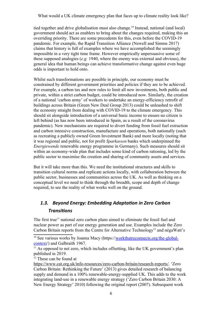tied together and drive globalisation must also change.<sup>[10](#page-9-1)</sup> Instead, national (and local) government should act as enablers to bring about the changes required, making this an overriding priority. There are some precedents for this, even before the COVID-19 pandemic. For example, the Rapid Transition Alliance (Newell and Simms 2017) claims that history is full of examples where we have accomplished the seemingly impossible in a very tight time frame. However empirically unpersuasive some of these supposed analogies (*e.g.* 1940, where the enemy was external and obvious), the general idea that human beings can achieve transformative change against even huge odds is important to hold onto.

Whilst such transformations are possible in principle, our economy must be constrained by different government priorities and policies if they are to be achieved. For example, a carbon tax and new rules to limit all new investments, both public and private, within a strict carbon budget, could be introduced now. Similarly, the creation of a national 'carbon army' of workers to undertake an energy-efficiency retrofit of buildings across Britain (Green New Deal Group 2013) could be unleashed to shift the economy straight from dealing with COVID-19 to the climate emergency. This should sit alongside introduction of a universal basic income to ensure no citizen is left behind (as has now been introduced in Spain, as a result of the coronavirus pandemic). New mechanisms are required to divert funding from fossil fuel extraction and carbon intensive construction, manufacture and operations, both nationally (such as recreating a publicly owned Green Investment Bank) and more locally (noting that it was regional and public, not for profit *Sparkassen* banks which underpinned the *Energiewende* renewable energy programme in Germany). Such measures should sit within an economy-wide plan that includes some kind of carbon rationing, led by the public sector to maximise the creation and sharing of community assets and services.

But it will take more than this. We need the institutional structures and skills to transition cultural norms and replicate actions locally, with collaboration between the public sector, businesses and communities across the UK. As well as thinking on a conceptual level we need to think through the breadth, scope and depth of change required, to see the reality of what works well on the ground.

## <span id="page-9-0"></span>*1.3. Beyond Energy: Embedding Adaptation in Zero Carbon Transitions*

The first true<sup>[11](#page-9-2)</sup> national zero carbon plans aimed to eliminate the fossil fuel and nuclear power as part of our energy generation and use. Examples include the Zero Carbon Britain reports from the Centre for Alternative Technology<sup>[12](#page-9-3)</sup> and négaWatt's

<span id="page-9-3"></span><sup>12</sup> These can be found at

<span id="page-9-1"></span><sup>&</sup>lt;sup>10</sup> See various works by Joanna Macy (https://workthatreconnects.org/the-global[context](https://workthatreconnects.org/the-global-context)/) and Galbraith 1967.

<span id="page-9-2"></span> $11$  As opposed to net zero, which includes offsetting, like the UK government's plan published in 2019.

<https://www.cat.org.uk/info-resources/zero-carbon-britain/research-reports/>. 'Zero Carbon Britain: Rethinking the Future' (2013) gives detailed research of balancing supply and demand in a 100% renewable-energy-supplied UK. This adds to the work integrating land-use in a renewable energy strategy ('Zero Carbon Britain 2030: A New Energy Strategy' 2010) following the original report (2007). Subsequent work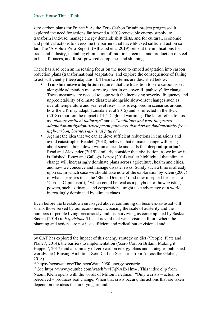zero carbon plans for France.<sup>[13](#page-10-0)</sup> As the Zero Carbon Britain project progressed it explored the need for actions far beyond a 100% renewable energy supply: to transform land-use; manage energy demand; shift diets, and for cultural, economic and political actions to overcome the barriers that have blocked sufficient action so far. The 'Absolute Zero Report' (Allwood et al 2019) sets out the implications for trade and industry, including elimination of traditional cement and production of steel in blast furnaces, and fossil-powered aeroplanes and shipping.

There has also been an increasing focus on the need to embed adaptation into carbon reduction plans (transformational adaptation) and explore the consequences of failing to act sufficiently (deep adaptation). These two terms are described below:

- **Transformative adaptation** requires that the transition to zero carbon is set alongside adaptation measures together in one overall 'pathway' for change. These measures are needed to cope with the increasing severity, frequency and unpredictability of climate disasters alongside slow-onset changes such as overall temperature and sea level rises. This is explored in scenarios around how the UK may adapt (Lonsdale et al 2015) and is reflected in the IPCC (2018) report on the impact of 1.5°C global warming. The latter refers to this as "*climate resilient pathways*" and as "*ambitious and well-integrated adaptation-mitigation-development pathways that deviate fundamentally from high-carbon, business-as-usual futures*".
- Against the idea that we can achieve sufficient reductions in emissions and avoid catastrophe, Bendell (2018) believes that climate change will bring about societal breakdown within a decade and calls for '**deep adaptation**'. Read and Alexander (2019) similarly consider that civilisation, as we know it, is finished. Essex and Gallego-Lopez (2014) earlier highlighted that climate change will increasingly dominate plans across agriculture, health and cities, and how we conceive and manage disaster risks. Surely such a time is already upon us. In which case we should take note of the exploration by Klein (2007) of what she refers to as the 'Shock Doctrine' (and now morphed for her into 'Corona Capitalism'), $<sup>14</sup>$  $<sup>14</sup>$  $<sup>14</sup>$  which could be read as a playbook of how existing</sup> powers, such as finance and corporations, might take advantage of a world increasingly dominated by climate chaos.

Even before the breakdown envisaged above, continuing on business-as-usual will shrink those served by our economies, increasing the scale of austerity and the numbers of people living precariously and just surviving, as contemplated by Saskia Sassen (2014) in *Expulsions*. Thus it is vital that we envision a future where the planning and actions are not just sufficient and radical but envisioned and

by CAT has explored the impact of this energy strategy on diet ('People, Plate and Planet', 2014), the barriers to implementation ('Zero Carbon Britain: Making it Happen', 2017) and a summary of zero carbon energy plans and strategies published worldwide ('Raising Ambition: Zero Carbon Scenarios from Across the Globe', 2018).

<span id="page-10-0"></span><sup>&</sup>lt;sup>13</sup> <https://negawatt.org/The-negaWatt-2050-energy-scenario>

<span id="page-10-1"></span><sup>&</sup>lt;sup>14</sup> See https://www.youtube.com/watch?v=IFqNAEx1lm4. This video clip from Naomi Klein opens with the words of Milton Friedman: "Only a crisis – actual or perceived – produces real change. When that crisis occurs, the actions that are taken depend on the ideas that are lying around."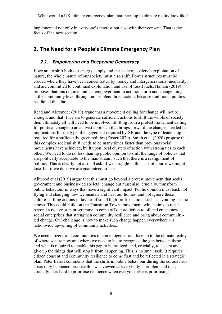implemented not only in everyone's interest but also with their consent. That is the focus of the next section.

# <span id="page-11-1"></span>**2. The Need for a People's Climate Emergency Plan**

### <span id="page-11-0"></span>*2.1. Empowering and Deepening Democracy*

If we are to shift both our energy supply and the scale of society's exploitation of nature, the whole nature of our society must also shift. Power structures must be eroded where they have been concentrated by money and intergenerational inequality, and are committed to continued exploitation and use of fossil fuels. Hallam (2019) proposes that this requires radical empowerment to act, transform and change things at the community level through non-violent direct action, because traditional politics has failed thus far.

Read and Alexander (2019) argue that a movement calling for change will not be enough, and that if we are to generate sufficient actions to shift the whole of society then ultimately all will need to be involved. Shifting from a protest movement calling for political change to an activist approach that brings forward the changes needed has implications for the type of engagement required by XR and the type of leadership required for a sufficiently green politics (Foster 2020). Smith et al (2020) propose that this complex societal shift needs to be many times faster than previous social movements have achieved, built upon local clusters of action with strong ties to each other. We need to do no less than tip public opinion to shift the range of policies that are politically acceptable to the mainstream, such that there is a realignment of politics. This is clearly not a small ask: if we struggle in this task of course we might lose, but if we don't we are guaranteed to lose.

Allwood et al (2019) argue that this must go beyond a protest movement that seeks government and business-led societal change but must also, crucially, transform public behaviour in ways that have a significant impact. Public opinion must back not flying and changing how we insulate and heat our homes, and not ignore these culture-shifting actions in favour of small high-profile actions such as avoiding plastic straws. This could build on the Transition Towns movement, which aims to reach beyond a twelve-step programme to come off our addiction to oil and create new social enterprises that strengthen community resilience and bring about communityled change. Our challenge is how to make such change happen everywhere – a nationwide upwelling of community activities.

We need citizens and communities to come together and face up to the climate reality of where we are now and where we need to be, to recognise the gap between these and what is required to enable this gap to be bridged, and, crucially, to accept and give up the things that will stop it from happening. This is no small task. It requires citizen consent and community resilience to come first and be reflected in a strategic plan. Peter Lefort comments that the shifts in public behaviour during the coronavirus crisis only happened because this was viewed as everybody's problem and that, crucially, it is hard to prioritise resilience when everyone else is prioritising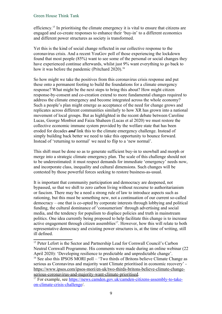efficiency.[15](#page-12-0) In prioritising the climate emergency it is vital to ensure that citizens are engaged and co-create responses to enhance their 'buy-in' to a different economics and different power structures as society is transformed.

Yet this is the kind of social change reflected in our collective response to the coronavirus crisis. And a recent YouGov poll of those experiencing the lockdown found that most people (85%) want to see some of the personal or social changes they have experienced continue afterwards, whilst just 9% want everything to go back to how it was before the pandemic (Pritchard 2020).<sup>[16](#page-12-1)</sup>

So how might we take the positives from this coronavirus crisis response and put these onto a permanent footing to build the foundations for a climate emergency response? What might be the next steps to bring this about? How might citizen response-by-consent and co-creation extend to more fundamental changes required to address the climate emergency and become integrated across the whole economy? Such a people's plan might emerge as acceptance of the need for change grows and replicates across different communities similarly to how XR has grown into a national movement of local groups. But as highlighted in the recent debate between Caroline Lucas, George Monbiot and Faiza Shaheen (Lucas et al 2020) we must restore the collective economic immune system provided by the welfare state that has been eroded for decades *and* link this to the climate emergency challenge. Instead of simply building back better we need to take this opportunity to bounce forward. Instead of 'returning to normal' we need to flip to a 'new normal'.

This shift must be done so as to generate sufficient buy-in to snowball and morph or merge into a strategic climate emergency plan. The scale of this challenge should not to be underestimated: it must respect demands for immediate 'emergency' needs now, and incorporate class, inequality and cultural dimensions. Such changes will be contested by those powerful forces seeking to restore business-as-usual.

It is important that community participation and democracy are deepened, not bypassed, so that we shift to zero carbon living without recourse to authoritarianism or fascism. There may be a need a strong rule of law to introduce aspects such as rationing, but this must be something new, not a continuation of our current so-called democracy – one that is co-opted by corporate interests through lobbying and political funding, the cultural dominance of 'consumerism' through advertising and social media, and the tendency for populism to displace policies and truth in mainstream politics. One idea currently being proposed to help facilitate this change is to increase active engagement through citizen assemblies<sup>[17](#page-12-2)</sup>. However, how this will relate to both representative democracy and existing power structures is, at the time of writing, still ill defined.

<span id="page-12-0"></span><sup>&</sup>lt;sup>15</sup> Peter Lefort is the Sector and Partnership Lead for Cornwall Council's Carbon Neutral Cornwall Programme. His comments were made during an online webinar (22 April 2020): 'Developing resilience to predictable and unpredictable change'.

<span id="page-12-1"></span><sup>&</sup>lt;sup>16</sup> See also this IPSOS MORI poll – 'Two thirds of Britons believe Climate Change as serious as Coronavirus and majority want Climate prioritised in economic recovery' [https://www.ipsos.com/ipsos-mori/en-uk/two-thirds-britons-believe-climate-change](https://www.ipsos.com/ipsos-mori/en-uk/two-thirds-britons-believe-climate-change-serious-coronavirus-and-majority-want-climate-prioritised)[serious-coronavirus-and-majority-want-climate-prioritised.](https://www.ipsos.com/ipsos-mori/en-uk/two-thirds-britons-believe-climate-change-serious-coronavirus-and-majority-want-climate-prioritised)

<span id="page-12-2"></span><sup>&</sup>lt;sup>17</sup> For example, see https://news.camden.gov.uk/camden-citizens-assembly-to-take[on-climate-crisis-challenge/](https://news.camden.gov.uk/camden-citizens-assembly-to-take-on-climate-crisis-challenge).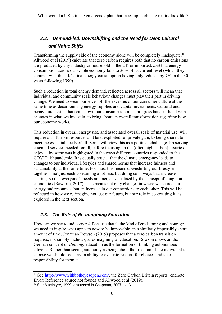# <span id="page-13-1"></span>*2.2. Demand-led: Downshifting and the Need for Deep Cultural and Value Shifts*

Transforming the supply side of the economy alone will be completely inadequate.[18](#page-13-3) Allwood et al (2019) calculate that zero carbon requires both that no carbon emissions are produced by any industry or household in the UK or imported, *and* that energy consumption across our whole economy falls to 30% of its current level (which they contrast with the UK's final energy consumption having only reduced by 7% in the 30 years following 1990).

Such a reduction in total energy demand, reflected across all sectors will mean that individual and community scale behaviour changes must play their part in driving change. We need to wean ourselves off the excesses of our consumer culture at the same time as decarbonising energy supplies and capital investments. Cultural and behavioural shifts that scale down our consumption must progress hand-in-hand with changes in what we invest in, to bring about an overall transformation regarding how our economy works.

This reduction in overall energy use, and associated overall scale of material use, will require a shift from resources and land exploited for private gain, to being shared to meet the essential needs of all. Some will view this as a political challenge. Preserving essential services needed for all, before focusing on the (often high carbon) luxuries enjoyed by some was highlighted in the ways different countries responded to the COVID-19 pandemic. It is equally crucial that the climate emergency leads to changes to our individual lifestyles and shared norms that increase fairness and sustainability at the same time. For most this means downshifting our lifestyles together – not just each consuming a lot less, but doing so in ways that increase sharing, so that everyone's needs are met, as visualised by the concept of doughnut economics (Raworth, 2017). This means not only changes in where we source our energy and resources, but an increase in our connections to each other. This will be reflected in how we re-imagine not just our future, but our role in co-creating it, as explored in the next section.

## <span id="page-13-0"></span>*2.3. The Role of Re-imagining Education*

How can we see round corners? Because that is the kind of envisioning and courage we need to inspire what appears now to be impossible, in a similarly impossibly short amount of time. Jonathan Rowson (2019) proposes that a zero carbon transition requires, not simply includes, a re-imagining of education. Rowson draws on the German concept of *Bildung*: education as the formation of thinking autonomous citizens. Rather than seeing autonomy as being about the freedom of the individual to choose we should see it as an ability to evaluate reasons for choices and take responsibility for them.<sup>[19](#page-13-4)</sup>

<span id="page-13-3"></span><sup>&</sup>lt;sup>18</sup> See<http://www.withbotheyesopen.com/>, the Zero Carbon Britain reports (endnote [Error: Reference source not found](#page-13-2)) and Allwood et al (2019).

<span id="page-13-4"></span><span id="page-13-2"></span><sup>19</sup> See MacIntyre, 1999, discussed in Chapman, 2007, p.131.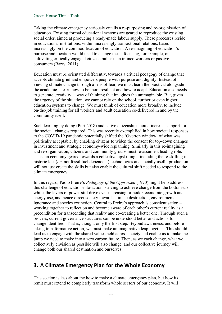Taking the climate emergency seriously entails a re-purposing and re-organisation of education. Existing formal educational systems are geared to reproduce the existing social order, aimed at producing a ready-made labour supply. These processes reside in educational institutions, within increasingly transactional relations, based increasingly on the commodification of education. A re-imagining of education's purpose and location would need to change these, focusing, for example, on cultivating critically engaged citizens rather than trained workers or passive consumers (Barry, 2011).

Education must be orientated differently, towards a critical pedagogy of change that accepts climate grief and empowers people with purpose and dignity. Instead of viewing climate change through a lens of fear, we must learn the practical alongside the academic – learn how to be more resilient and how to adapt. Education also needs to generate creativity, a way of thinking that imagines the unimaginable. But, given the urgency of the situation, we cannot rely on the school, further or even higher education systems to change. We must think of education more broadly, to include on-the-job training for all workers and adult education co-delivered in and by the community itself.

Such learning by doing (Puri 2018) and active citizenship should increase support for the societal changes required. This was recently exemplified in how societal responses to the COVID-19 pandemic potentially shifted the 'Overton window' of what was politically acceptable, by enabling citizens to widen the consent for top-down changes in investment and strategic economy-wide replanning. Similarly in this re-imagining and re-organisation, citizens and community groups must re-assume a leading role. Thus, an economy geared towards a collective upskilling – including the re-skilling in historic lost (*i.e.* not fossil fuel dependent) technologies and socially useful production will not just create the skills but also enable the cultural shift needed to respond to the climate emergency.

In this regard, Paolo Freire's *Pedagogy of the Oppressed* (1970) might help address this challenge of education-into-action, striving to achieve change from the bottom-up whilst the levers of power still drive ever increasing orthodox economic growth and energy use, and hence direct society towards climate destruction, environmental ignorance and species extinction. Central to Freire's approach is conscientisation – working together to reflect on and become aware of each other's current reality as a precondition for transcending that reality and co-creating a better one. Through such a process, current governance structures can be understood better and actions for change identified. That is, though, only the first step. Beyond awareness, and before taking transformative action, we must make an imaginative leap together. This should lead us to engage with the shared values held across society and enable us to make the jump we need to make into a zero carbon future. Then, as we each change, what we collectively envision as possible will also change, and our collective journey will change both our shared destination and ourselves.

## <span id="page-14-0"></span>**3. A Climate Emergency Plan for the Whole Economy**

This section is less about the how to make a climate emergency plan, but how its remit must extend to completely transform whole sectors of our economy. It will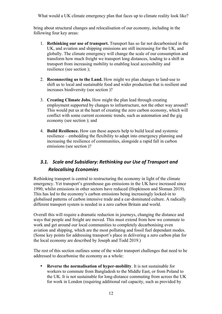bring about structural changes and relocalisation of our economy, including in the following four key areas:

- 1. **Rethinking our use of transport.** Transport has so far not decarbonised in the UK, and aviation and shipping emissions are still increasing for the UK, and globally. The climate emergency will change the scale of our consumption and transform how much freight we transport long distances, leading to a shift in transport from increasing mobility to enabling local accessibility and resilience (see section [\)](#page-15-1);
- 2. **Reconnecting us to the Land.** How might we plan changes to land-use to shift us to local and sustainable food and wider production that is resilient and increases biodiversity (see section [\)](#page-17-1)?
- 3. **Creating Climate Jobs.** How might the plan lead through creating employment supported by changes to infrastructure, not the other way around? This would put us at the heart of creating the zero carbon economy, which will conflict with some current economic trends, such as automation and the gig economy (see section [\)](#page-18-0); and
- 4. **Build Resilience.** How can these aspects help to build local and systemic resilience – embedding the flexibility to adapt into emergency planning and increasing the resilience of communities, alongside a rapid fall in carbon emissions (see section [\)](#page-21-1)?

## <span id="page-15-1"></span><span id="page-15-0"></span>*3.1. Scale and Subsidiary: Rethinking our Use of Transport and Relocalising Economies*

Rethinking transport is central to restructuring the economy in light of the climate emergency. Yet transport's greenhouse gas emissions in the UK have increased since 1990, whilst emissions in other sectors have reduced (Hopkinson and Sloman 2019). This has led to the economy's carbon emissions being increasingly locked-in to globalised patterns of carbon intensive trade and a car-dominated culture. A radically different transport system is needed in a zero carbon Britain and world.

Overall this will require a dramatic reduction in journeys, changing the distance and ways that people and freight are moved. This must extend from how we commute to work and get around our local communities to completely decarbonising even aviation and shipping, which are the most polluting and fossil fuel dependant modes. (Some key points for addressing transport's place in delivering a zero carbon plan for the local economy are described by Joseph and Todd 2019.)

The rest of this section outlines some of the wider transport challenges that need to be addressed to decarbonise the economy as a whole:

 **Reverse the normalisation of hyper-mobility**. It is not sustainable for workers to commute from Bangladesh to the Middle East, or from Poland to the UK. It is not sustainable for long-distance commuting from across the UK for work in London (requiring additional rail capacity, such as provided by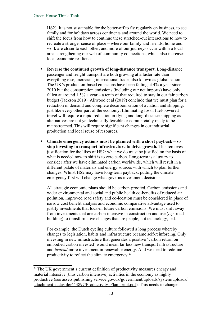HS2). It is not sustainable for the better-off to fly regularly on business, to see family and for holidays across continents and around the world. We need to shift the focus from how to continue these stretched-out interactions to how to recreate a stronger sense of place – where our family and friends, home and work are closer to each other, and more of our journeys occur within a local area, strengthening our web of community connections, which also increases local economic resilience.

- **Reverse the continued growth of long-distance transport.** Long-distance passenger and freight transport are both growing at a faster rate than everything else, increasing international trade, also known as globalisation. The UK's production-based emissions have been falling at 4% a year since 2010 but the consumption emissions (including our net imports) have only fallen at around 1.5% a year – a tenth of that required to stay in our fair carbon budget (Jackson 2019). Allwood et al (2019) conclude that we must plan for a reduction in demand and complete decarbonisation of aviation and shipping, just like every other part of the economy. Eliminating fossil fuel-powered travel will require a rapid reduction in flying and long-distance shipping as alternatives are not yet technically feasible or commercially ready to be mainstreamed. This will require significant changes in our industrial production and local reuse of resources.
- **Climate emergency actions must be planned with a short payback so stop investing in transport infrastructure to drive growth.** This removes justification for the likes of HS2: what we do must be justified on the basis of what is needed now to shift is to zero carbon. Long-term is a luxury to consider after we have eliminated carbon worldwide, which will result in a different palate of materials and energy sources with which to plan further changes. Whilst HS2 may have long-term payback, putting the climate emergency first will change what governs investment decisions.

All strategic economic plans should be carbon-proofed. Carbon emissions and wider environmental and social and public health co-benefits of reduced air pollution, improved road safety and co-location must be considered in place of narrow cost benefit analysis and economic comparative advantage used to justify investments that lock-in future carbon emissions. We must shift away from investments that are carbon intensive in construction and use (*e.g.* road building) to transformative changes that are people, not technology, led.

For example, the Dutch cycling culture followed a long process whereby changes to legislation, habits and infrastructure became self-reinforcing. Only investing in new infrastructure that generates a positive 'carbon return on embodied carbon invested' would mean far less new transport infrastructure and *instead* more investment in renewable energy. And we need to redefine productivity to reflect the climate emergency.[20](#page-16-0)

<span id="page-16-0"></span><sup>&</sup>lt;sup>20</sup> The UK government's current definition of productivity measures energy and material intensive (thus carbon intensive) activities in the economy as highly productive (see [assets.publishing.service.gov.uk/government/uploads/system/uploads/](https://assets.publishing.service.gov.uk/government/uploads/system/uploads/attachment_data/file/443897/Productivity_Plan_print.pdf) [attachment\\_data/file/443897/Productivity\\_Plan\\_print.pdf](https://assets.publishing.service.gov.uk/government/uploads/system/uploads/attachment_data/file/443897/Productivity_Plan_print.pdf)). This needs to change.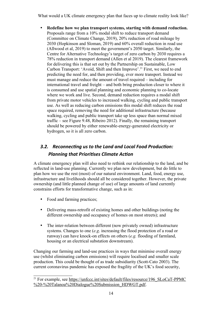**Redefine how we plan transport systems, starting with demand reduction.** Proposals range from a 10% modal shift to reduce transport demand (Committee on Climate Change, 2019), 20% reduction of road mileage by 2030 (Hopkinson and Sloman, 2019) and 60% overall reduction in road use (Allwood et al, 2019) to meet the government's 2050 target. Similarly, the Centre for Alternative Technology's target of zero carbon by 2030 requires a 78% reduction in transport demand (Allen et al 2019). The clearest framework for delivering this is that set out by the Partnership on Sustainable, Low Carbon Transport: 'Avoid, Shift and then Improve'.<sup>[21](#page-17-2)</sup> First, we need to end predicting the need for, and then providing, ever more transport. Instead we must manage and reduce the amount of travel required – including for international travel and freight – and both bring production closer to where it is consumed and use spatial planning and economic planning to co-locate where we work and live. Second, demand reduction requires a modal shift from private motor vehicles to increased walking, cycling and public transport use. As well as reducing carbon emissions this modal shift reduces the road space required, removing the need for additional infrastructure (because walking, cycling and public transport take up less space than normal mixed traffic – see Figure 9.48, Ribeiro 2012). Finally, the remaining transport should be powered by either renewable-energy-generated electricity or hydrogen, so it is all zero carbon.

# <span id="page-17-1"></span><span id="page-17-0"></span>*3.2. Reconnecting us to the Land and Local Food Production: Planning that Prioritises Climate Action*

A climate emergency plan will also need to rethink our relationship to the land, and be reflected in land-use planning. Currently we plan new development, but do little to plan how we use the rest (most) of our natural environment. Land, food, energy use, infrastructure and livelihoods should all be considered together. However, the private ownership (and little planned change of use) of large amounts of land currently constrains efforts for transformative change, such as in:

- Food and farming practices;
- Delivering mass-retrofit of existing homes and other buildings (noting the different ownership and occupancy of homes on most streets); and
- The inter-relation between different (now privately owned) infrastructure systems. Changes to one (*e.g*. increasing the flood protection of a road or runway) can have knock-on effects on others (*e.g.* flooding of farmland, housing or an electrical substation downstream).

Changing our farming and land-use practices in ways that minimise overall energy use (whilst eliminating carbon emissions) will require localised and smaller scale production. This could be thought of as trade subsidiarity (Scott-Cato 2003). The current coronavirus pandemic has exposed the fragility of the UK's food security,

<span id="page-17-2"></span><sup>&</sup>lt;sup>21</sup> For example, see https://unfccc.int/sites/default/files/resource/196 SLoCaT-PPMC [%20-%20Talanoa%20Dialogue%20Submission\\_HDWGT.pdf](https://unfccc.int/sites/default/files/resource/196_SLoCaT-PPMC%20-%20Talanoa%20Dialogue%20Submission_HDWGT.pdf).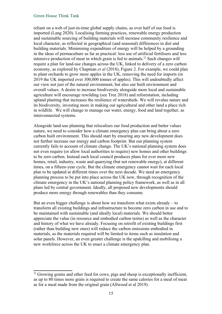reliant on a web of just-in-time global supply chains, as over half of our food is imported (Lang 2020). Localising farming practices, renewable energy production and sustainable sourcing of building materials will increase community resilience and local character, as reflected in geographical (and seasonal) differences in diet and building materials. Minimising expenditure of energy will be helped by a grounding in the ideas of permaculture as far as practical: less use of artificial fertilisers and less intensive production of meat in which grain is fed to animals.<sup>[22](#page-18-1)</sup> Such changes will require a plan for land-use changes across the UK, linked to delivery of a zero carbon economy, as explored by Chapman *et al* (2018), Figure 2. For example, we could plan to plant orchards to grow more apples in the UK, removing the need for imports (in 2019 the UK imported over 300,000 tonnes of apples). This will undoubtedly affect our view not just of the natural environment, but also our built environment and overall values. A desire to increase biodiversity alongside more local and sustainable agriculture will encourage rewilding (see Tree 2018) and reforestation, including upland planting that increases the resilience of watersheds. We will revalue nature and its biodiversity, investing more in making our agricultural and other land a place rich in wildlife. We will change to manage our water, energy, food and land together, as interconnected systems.

Alongside land-use planning that relocalises our food production and better values nature, we need to consider how a climate emergency plan can bring about a zero carbon built environment. This should start by ensuring any new development does not further increase our energy and carbon footprint. But our planning system currently fails to account of climate change. The UK's national planning system does not even require (or allow local authorities to require) new homes and other buildings to be zero carbon. Instead each local council produces plans for ever more new homes, retail, industry, waste and quarrying (but not renewable energy), at different times, on a fifteen-year cycle. But the climate emergency cannot wait for each local plan to be updated at different times over the next decade. We need an emergency planning process to be put into place across the UK now, through recognition of the climate emergency in the UK's national planning policy framework, as well as in all plans led by central government. Ideally, all proposed new developments should produce more energy through renewables than they consume.

But an even bigger challenge is about how we transform what exists already – to transform all existing buildings and infrastructure to become zero carbon in use and to be maintained with sustainable (and ideally local) materials. We should better appreciate the value (in resource and embodied carbon terms) as well as the character and history of what we have already. Focusing on retrofit of existing buildings first (rather than building new ones) will reduce the carbon emissions embodied in materials, as the materials required will be limited to items such as insulation and solar panels. However, an even greater challenge is the upskilling and mobilising a new workforce across the UK to enact a climate emergency plan.

<span id="page-18-1"></span><span id="page-18-0"></span> $22$  Growing grains and other feed for cows, pigs and sheep is exceptionally inefficient, as up to 80 times more grain is required to create the same calories for a meal of meat as for a meal made from the original grain (Allwood et al 2019).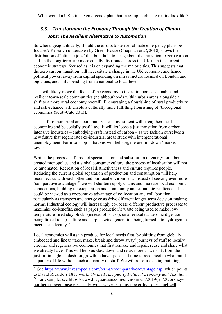## <span id="page-19-0"></span>*3.3. Transforming the Economy Through the Creation of Climate Jobs: The Resilient Alternative to Automation*

So where, geographically, should the efforts to deliver climate emergency plans be focused? Research undertaken by Green House (Chapman *et al*, 2018) shows the distribution of 'climate jobs' that both help to bring about the transition to zero carbon and, in the long-term, are more equally distributed across the UK than the current economic strategy, focused as it is on expanding the major cities. This suggests that the zero carbon transition will necessitate a change in the UK economy, and hence political power, away from capital spending on infrastructure focused on London and big cities, and shift spending from a national to local level.

This will likely move the focus of the economy to invest in more sustainable and resilient town-scale communities (neighbourhoods within urban areas alongside a shift to a more rural economy overall). Encouraging a flourishing of rural productivity and self-reliance will enable a culturally more fulfilling flourishing of 'bioregional' economies (Scott-Cato 2013).

The shift to more rural and community-scale investment will strengthen local economies and be socially useful too. It will let loose a just transition from carbon intensive industries – embodying craft instead of carbon – as we fashion ourselves a new future that regenerates ex-industrial areas stuck with intergenerational unemployment. Farm-to-shop initiatives will help regenerate run-down 'market' towns.

Whilst the processes of product specialisation and substitution of energy for labour created monopolies and a global consumer culture, the process of localisation will not be automated. Recreation of local distinctiveness and culture requires people. Reducing the current global separation of production and consumption will help reconnect us with each other and our local environment. Instead of seeking ever more 'comparative advantage'[23](#page-19-1) we will shorten supply chains and increase local economic connections, building up cooperation and community and economic resilience. This could be viewed as a cooperative advantage of co-location and collaboration, particularly as transport and energy costs drive different longer-term decision-making norms. Industrial ecology will increasingly co-locate different productive processes to maximise co-benefits, such as paper production's waste being used to make lowtemperature-fired clay blocks (instead of bricks), smaller scale anaerobic digestion being linked to agriculture and surplus wind generation being turned into hydrogen to meet needs locally.<sup>[24](#page-19-2)</sup>

Local economies will again produce for local needs first, by shifting from globally embedded and linear 'take, make, break and throw away' journeys of stuff to locally circular and regenerative economies that first remake and repair, reuse and share what we already have. This will help us slow down and relax more as we shift from the just-in-time global dash for growth to have space and time to reconnect to what builds a quality of life without such a quantity of stuff. We will retrofit existing buildings

<span id="page-19-2"></span><span id="page-19-1"></span><sup>&</sup>lt;sup>23</sup> See<https://www.investopedia.com/terms/c/comparativeadvantage.asp>, which points to David Ricardo's 1817 work: *On the Principles of Political Economy and Taxation*. <sup>24</sup> For example, see [https://www.theguardian.com/environment/2019/jan/20/orkney](https://www.theguardian.com/environment/2019/jan/20/orkney-northern-powerhouse-electricity-wind-waves-surplus-power-hydrogen-fuel-cell)[northern-powerhouse-electricity-wind-waves-surplus-power-hydrogen-fuel-cell.](https://www.theguardian.com/environment/2019/jan/20/orkney-northern-powerhouse-electricity-wind-waves-surplus-power-hydrogen-fuel-cell)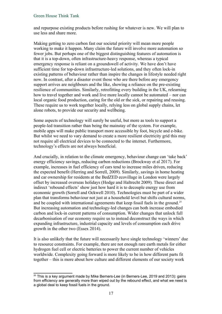and repurpose existing products before rushing for whatever is new. We will plan to use less and share more.

Making getting to zero carbon fast our societal priority will mean more people working to make it happen. Many claim the future will involve more automation so fewer jobs. But perhaps one of the biggest distinguishing features of automation is that it is a top-down, often infrastructure-heavy response, whereas a typical emergency response is reliant on a groundswell of activity. We have don't have sufficient time for top-down infrastructure-led solutions, and they often lock-in existing patterns of behaviour rather than inspire the changes in lifestyle needed right now. In contrast, after a disaster event those who are there before any emergency support arrives are neighbours and the like, showing a reliance on the pre-existing resilience of communities. Similarly, retrofitting every building in the UK, relearning how to travel together and work and live more locally cannot be automated – nor can local organic food production, caring for the old or the sick, or repairing and reusing. These require us to work together locally, relying less on global supply chains, let alone robots, to provide our security and wellbeing.

Some aspects of technology will surely be useful, but more as tools to support a people-led transition rather than being the mainstay of the system. For example, mobile apps will make public transport more accessible by foot, bicycle and e-bike. But whilst we need to vary demand to create a more resilient electricity grid this may not require all electrical devices to be connected to the internet. Furthermore, technology's effects are not always beneficial.

And crucially, in relation to the climate emergency, behaviour change can 'take back' energy efficiency savings, reducing carbon reductions (Brockway et al 2017). For example, increases in fuel efficiency of cars tend to increase miles driven, reducing the expected benefit (Herring and Sorrell, 2009). Similarly, savings in home heating and car ownership for residents at the BedZED ecovillage in London were largely offset by increased overseas holidays (Hodge and Haltrecht 2009). These direct and indirect 'rebound effects' show just how hard it is to decouple energy use from economic growth (Sorrell and Ockwell 2010). Technologies must be part of a wider plan that transforms behaviour not just at a household level but shifts cultural norms, and be coupled with international agreements that keep fossil fuels in the ground.<sup>[25](#page-20-0)</sup> But increasing automation and technology-led changes can both increase embodied carbon and lock-in current patterns of consumption. Wider changes that unlock full decarbonisation of our economy require us to instead deconstruct the ways in which expanding infrastructure, industrial capacity and levels of consumption each drive growth in the other two (Essex 2014).

It is also unlikely that the future will necessarily have single technology 'winners' due to resource constraints. For example, there are not enough rare earth metals for either hydrogen fuel cell or electric batteries to power the current number of vehicles worldwide. Complexity going forward is more likely to be in how different parts fit together – this is more about how culture and different elements of our society work

<span id="page-20-0"></span> $25$  This is a key argument made by Mike Berners-Lee (in Berners-Lee, 2019 and 2013): gains from efficiency are generally more than wiped out by the rebound effect, and what we need is a global deal to keep fossil fuels in the ground.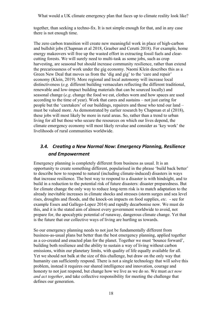together, than seeking a techno-fix. It is not simple enough for that, and in any case there is not enough time.

The zero carbon transition will create new meaningful work in place of high-carbon and bullshit jobs (Chapman et al 2018, Graeber and Cerutti 2018). For example, home energy makeovers will free up the wasted effort in extracting fossil fuels and clearcutting forests. We will surely need to multi-task as some jobs, such as crop harvesting, are seasonal but should increase community resilience, rather than extend the precariousness of work under the gig economy. Naomi Klein describes this as a Green New Deal that moves us from the 'dig and gig' to the 'care and repair' economy (Klein, 2019). More regional and local autonomy will increase local distinctiveness (*e.g.* different building vernaculars reflecting the different traditional, renewable and low-impact building materials that can be sourced locally) and seasonal change (*e.g*. change the food we eat, clothes worn and how spaces are used according to the time of year). Work that cares and sustains – not just caring for people but the 'caretakers' of our buildings, repairers and those who tend our land – must be valued more. As demonstrated by earlier research by Chapman et al (2018), these jobs will most likely be more in rural areas. So, rather than a trend to urban living for all but those who secure the resources on which our lives depend, the climate emergency economy will most likely revalue and consider as 'key work' the livelihoods of rural communities worldwide.

## <span id="page-21-1"></span><span id="page-21-0"></span>*3.4. Creating a New Normal Now: Emergency Planning, Resilience and Empowerment*

Emergency planning is completely different from business as usual. It is an opportunity to create something different, popularised in the phrase 'build back better' to describe how to respond to natural (including climate-induced) disasters in ways that increase resilience. The best way to respond to a disaster is with hindsight, and to build in a reduction to the potential risk of future disasters: disaster preparedness. But for climate change the only way to reduce long-term risk is to match adaptation to the already inevitable increases in climate shocks and stresses (storm surges and sea level rises, droughts and floods, and the knock-on impacts on food supplies, *etc.* - see for example Essex and Gallego-Lopez 2014) and rapidly decarbonise now. We must do this, and it is the stated aim of almost every government worldwide to avoid, not prepare for, the apocalyptic potential of runaway, dangerous climate change. Yet that is the future that our collective ways of living are hurtling us towards.

So our emergency planning needs to not just be fundamentally different from business-as-usual plans but better than the best emergency planning, applied together as a co-created and enacted plan for the planet. Together we must 'bounce forward', building both resilience and the ability to sustain a way of living without carbon emissions, within our planetary limits, with quality of life equally available for all. Yet we should not balk at the size of this challenge, but draw on the only way that humanity can sufficiently respond. There is not a single technology that will solve this problem, instead it requires our shared intelligence and innovation, courage and honesty to not just respond, but change how we live as we do so. We must *act now and act together*, and take collective responsibility for meeting the challenge that defines our generation.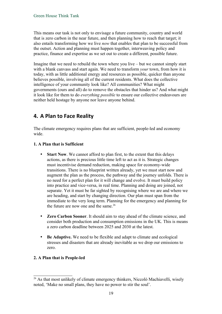This means our task is not only to envisage a future community, country and world that is zero carbon in the near future, and then planning how to reach that target; it also entails transforming how we live *now* that enables that plan to be successful from the outset. Action and planning must happen together, interweaving policy and practice, finance and expertise as we set out to create a different, possible future.

Imagine that we need to rebuild the town where you live – but we cannot simply start with a blank canvass and start again. We need to transform *your* town, from how it is today, with as little additional energy and resources as possible, quicker than anyone believes possible, involving all of the current residents. What does the collective intelligence of your community look like? All communities? What might governments (ours and all) do to remove the obstacles that hinder us? And what might it look like for them to do *everything possible* to ensure our collective endeavours are neither held hostage by anyone nor leave anyone behind.

# <span id="page-22-0"></span>**4. A Plan to Face Reality**

The climate emergency requires plans that are sufficient, people-led and economy wide.

#### **1. A Plan that is Sufficient**

- **Start Now**. We cannot afford to plan first, to the extent that this delays actions, as there is precious little time left to act as it is. Strategic changes must incentivise demand reduction, making space for economy-wide transitions. There is no blueprint written already, yet we must start now and augment the plan as the process, the pathway and the journey unfolds. There is no need for a perfect plan for it will change and evolve. It must build policy into practice and vice-versa, in real time. Planning and doing are joined, not separate. Yet it must be far sighted by recognising where we are and where we are heading, and start by changing direction. Our plan must span from the immediate to the very long term. Planning for the emergency and planning for the future are now one and the same.<sup>[26](#page-22-1)</sup>
- **Zero Carbon Sooner**. It should aim to stay ahead of the climate science, and consider both production and consumption emissions in the UK. This is means a zero carbon deadline between 2025 and 2030 at the latest.
- **Be Adaptive.** We need to be flexible and adapt to climate and ecological stresses and disasters that are already inevitable as we drop our emissions to zero.

#### **2. A Plan that is People-led**

<span id="page-22-1"></span><sup>&</sup>lt;sup>26</sup> As that most unlikely of climate emergency thinkers, Niccolò Machiavelli, wisely noted, 'Make no small plans, they have no power to stir the soul'.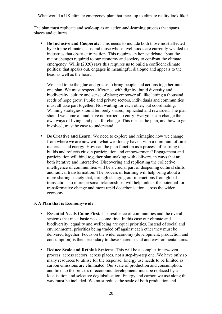The plan must replicate and scale-up as an action-and-learning process that spans places and cultures.

 **Be Inclusive and Cooperate.** This needs to include both those most affected by extreme climate chaos and those whose livelihoods are currently wedded to industries that obstruct transition. This requires an honest debate about the major changes required to our economy and society to confront the climate emergency. Willis (2020) says this requires us to build a confident climate politics: that speaks out, engages in meaningful dialogue and appeals to the head as well as the heart.

We need to be the glue and grease to bring people and actions together into one plan. We must respect difference with dignity; build diversity and biodiversity, culture and sense of place; empower all, like letting a thousand seeds of hope grow. Public and private sectors, individuals and communities must all take part together. Not waiting for each other, but coordinating. Winning strategies should be freely shared, replicated and rewarded. The plan should welcome all and have no barriers to entry. Everyone can change their own ways of living, and push for change. This means the plan, and how to get involved, must be easy to understand.

 **Be Creative and Learn**. We need to explore and reimagine how we change from where we are now with what we already have – with a minimum of time, materials and energy. How can the plan function as a process of learning that builds and reflects citizen participation and empowerment? Engagement and participation will bind together plan-making with delivery, in ways that are both iterative and interactive. Discovering and replicating the collective intelligence of communities will be a crucial part of deepening cultural shifts and radical transformation. The process of learning will help bring about a more sharing society that, through changing our interactions from global transactions to more personal relationships, will help unlock the potential for transformative change and more rapid decarbonisation across the wider economy.

#### **3. A Plan that is Economy-wide**

- **Essential Needs Come First.** The resilience of communities and the overall systems that meet basic needs come first. In this case our climate and biodiversity, equality and wellbeing are equal priorities. Instead of social and environmental priorities being traded off against each other they must be delivered together. Focus on the wider economy (development, production and consumption) is then secondary to these shared social and environmental aims.
- **Reduce Scale and Rethink Systems.** This will be a complex interwoven process, across sectors, across places, not a step-by-step one. We have only so many resources to utilise for the response. Energy use needs to be limited as carbon emissions are eliminated. Our scale of production and consumption, and links to the process of economic development, must be replaced by a localisation and selective deglobalisation. Energy and carbon we use along the way must be included. We must reduce the scale of both production and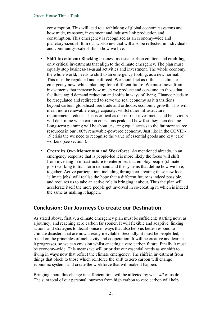consumption. This will lead to a rethinking of global economic systems and how trade, transport, investment and industry link production and consumption. This emergency is recognised as an economy-wide and planetary-sized shift in our worldview that will also be reflected in individualand community-scale shifts in how we live.

- **Shift Investment: Blocking** business-as-usual carbon emitters and **enabling**  only critical investments that align to the climate emergency. The plan must equally stop business-as-usual activities and investment. The whole economy, the whole world, needs to shift to an emergency footing, as a new normal. This must be regulated and enforced. We should act as if this is a climate emergency now, whilst planning for a different future. We must move from investments that increase how much we produce and consume, to those that facilitate rapid demand reduction and shifts in ways of living. Finance needs to be reregulated and redirected to serve the real economy as it transitions beyond carbon, globalised free trade and orthodox economic growth. This will mean more renewable energy capacity, whilst other infrastructure requirements reduce. This is critical as our current investments and behaviours will determine when carbon emissions peak and how fast they then decline. Long-term planning will be about ensuring equal access to the far more scarce resources in our 100% renewable-powered economy. Just like in the COVID-19 crisis the we need to recognise the value of essential goods and key 'care' workers (see section [\)](#page-18-0).
- **Create its Own Momentum and Workforce.** As mentioned already, in an emergency response that is people-led it is more likely the focus will shift from investing in infrastructure to enterprises that employ people (climate jobs) working to transform demand and the systems that define how we live, together. Active participation, including through co-creating these new local 'climate jobs' will realise the hope that a different future is indeed possible, and requires us to take an active role in bringing it about. Thus the plan will accelerate itself the more people get involved in co-creating it, which is indeed the same as making it happen.

## <span id="page-24-0"></span>**Conclusion: Our Journeys Co-create our Destination**

As stated above, firstly, a climate emergency plan must be sufficient: starting now, as a journey, and reaching zero carbon far sooner. It will flexible and adaptive, linking actions and strategies to decarbonise in ways that also help us better respond to climate disasters that are now already inevitable. Secondly, it must be people-led, based on the principles of inclusivity and cooperation. It will be creative and learn as it progresses, so we can envision whilst enacting a zero carbon future. Finally it must be economy-wide. This means we will prioritise our essential needs as we shift to living in ways now that reflect the climate emergency. The shift in investment from things that block to those which reinforce the shift to zero carbon will change economic systems and create the workforce that will make it happen.

Bringing about this change in sufficient time will be affected by what *all* of us do. The sum total of our personal journeys from high carbon to zero carbon will help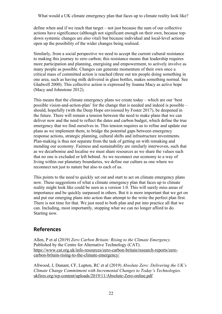define when and if we reach that target – not just because the sum of our collective actions have significance (although not significant enough on their own, because topdown systemic changes are also vital) but because individual and local-level actions open up the possibility of the wider changes being realised.

Similarly, from a social perspective we need to accept the current cultural resistance to making this journey to zero carbon; this resistance means that leadership requires more participation and planning, energising and empowerment, to actively involve as many people as possible. Changes can generate momentum of their own once a critical mass of committed action is reached (three out ten people doing something in one area, such as having milk delivered in glass bottles, makes something normal. See Gladwell 2000). This collective action is expressed by Joanna Macy as active hope (Macy and Johnstone 2012).

This means that the climate emergency plans we create today – which are our 'best possible vision-and-action-plan' for the change that is needed and indeed is possible – should, hopefully (with the Deep Hope envisioned by Foster 2017), be deepened in the future. There will remain a tension between the need to make plans that we can deliver now and the need to reflect the dates and carbon budget, which define the true emergency that we find ourselves in. This tension requires us to refine and update our plans as we implement them, to bridge the potential gaps between emergency response actions, strategic planning, cultural shifts and infrastructure investments. Plan-making is thus not separate from the task of getting on with remaking and mending our economy. Fairness and sustainability are similarly interwoven, such that as we decarbonise and localise we must share resources as we share the values such that no one is excluded or left behind. As we reconnect our economy to a way of living within our planetary boundaries, we define our culture as one where we reconnect not just to nature but also to each of us.

This points to the need to quickly set out and start to act on climate emergency plans now. These suggestions of what a climate emergency plan that faces up to climate reality might look like could be seen as a version 1.0. This will surely miss areas of importance and be quickly surpassed in others. But it is more important that we get on and put our emerging plans into action than attempt to the write the perfect plan first. There is not time for that. We just need to both plan and put into practice all that we can. Including, most importantly, stopping what we can no longer afford to do. Starting now.

## <span id="page-25-0"></span>**References**

Allen, P et al (2019) *Zero Carbon Britain: Rising to the Climate Emergency.* Published by the Centre for Alternative Technology (CAT). [https://www.cat.org.uk/info-resources/zero-carbon-britain/research-reports/zero](https://www.cat.org.uk/info-resources/zero-carbon-britain/research-reports/zero-carbon-britain-rising-to-the-climate-emergency/)[carbon-britain-rising-to-the-climate-emergency/](https://www.cat.org.uk/info-resources/zero-carbon-britain/research-reports/zero-carbon-britain-rising-to-the-climate-emergency/)

Allwood, J, Dunant, CF, Lupton, RC et al (2019) *Absolute Zero: Delivering the UK's Climate Change Commitment with Incremental Changes to Today's Technologies.* [ukfires.org/wp-content/uploads/2019/11/Absolute-Zero-online.pdf](http://www.ukfires.org/wp-content/uploads/2019/11/Absolute-Zero-online.pdf)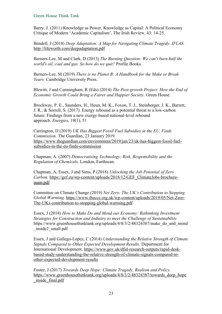Barry, J. (2011) Knowledge as Power, Knowledge as Capital: A Political Economy Critique of Modern 'Academic Capitalism', The Irish Review, 43: 14-25.

Bendell, J (2018) *Deep Adaptation: A Map for Navigating Climate Tragedy*. *IFLAS*. <http://lifeworth.com/deepadaptation.pdf>

Berners-Lee, M and Clark, D (2013) *The Burning Question: We can't burn half the world's oil, coal and gas. So how do we quit?* Profile Books.

Berners-Lee, M (2019) *There is no Planet B: A Handbook for the Make or Break Years.* Cambridge University Press.

Blewitt, J and Cunningham, R (Eds) (2014) *The Post-growth Project: How the End of Economic Growth Could Bring a Fairer and Happier Society*. Green House.

Brockway, P. E., Saunders, H., Heun, M. K., Foxon, T. J., Steinberger, J. K., Barrett, J. R., & Sorrell, S. (2017). Energy rebound as a potential threat to a low-carbon future: Findings from a new exergy-based national-level rebound approach. *Energies*, *10*(1), 51

Carrington, D (2019) *UK Has Biggest Fossil Fuel Subsidies in the EU, Finds Commission.* The Guardian, 23 January 2019. [https://www.theguardian.com/environment/2019/jan/23/uk-has-biggest-fossil-fuel](https://www.theguardian.com/environment/2019/jan/23/uk-has-biggest-fossil-fuel-subsidies-in-the-eu-finds-commission)[subsidies-in-the-eu-finds-commission](https://www.theguardian.com/environment/2019/jan/23/uk-has-biggest-fossil-fuel-subsidies-in-the-eu-finds-commission)

Chapman, A. (2007) *Democratising Technology; Risk, Responsibility and the Regulation of Chemicals,* London, Earthscan.

Chapman, A, Essex, J and Sims, P (2018) *Unlocking the Job Potential of Zero Carbon.* [https://gef.eu/wp-content/uploads/2018/12/GEF\\_ClimateJobs-brochure](https://gef.eu/wp-content/uploads/2018/12/GEF_ClimateJobs-brochure-main.pdf)[main.pdf](https://gef.eu/wp-content/uploads/2018/12/GEF_ClimateJobs-brochure-main.pdf)

Committee on Climate Change (2019) *Net Zero: The UK's Contribution to Stopping Global Warming.* [https://www.theccc.org.uk/wp-content/uploads/2019/05/Net-Zero-](https://www.theccc.org.uk/wp-content/uploads/2019/05/Net-Zero-The-UKs-contribution-to-stopping-global-warming.pdf)[The-UKs-contribution-to-stopping-global-warming.pdf](https://www.theccc.org.uk/wp-content/uploads/2019/05/Net-Zero-The-UKs-contribution-to-stopping-global-warming.pdf)

Essex, J (2014) *How to Make Do and Mend our Economy: Rethinking Investment Strategies for Construction and Industry to meet the Challenge of Sustainability.*  https://www.greenhousethinktank.org/uploads/4/8/3/2/48324387/make do and mend \_inside2\_small.pdf

Essex, J and Gallego-Lopez, C (2014) *Understanding the Relative Strength of Climate Signals Compared to Other Expected Development Results.* Department for International Development. [https://www.gov.uk/dfid-research-outputs/rapid-desk](https://www.gov.uk/dfid-research-outputs/rapid-desk-based-study-understanding-the-relative-strength-of-climate-signals-compared-to-other-expected-development-results)[based-study-understanding-the-relative-strength-of-climate-signals-compared-to](https://www.gov.uk/dfid-research-outputs/rapid-desk-based-study-understanding-the-relative-strength-of-climate-signals-compared-to-other-expected-development-results)[other-expected-development-results](https://www.gov.uk/dfid-research-outputs/rapid-desk-based-study-understanding-the-relative-strength-of-climate-signals-compared-to-other-expected-development-results)

Foster, J (2017) *Towards Deep Hope: Climate Tragedy, Realism and Policy.* [https://www.greenhousethinktank.org/uploads/4/8/3/2/48324387/towards\\_deep\\_hope](https://www.greenhousethinktank.org/uploads/4/8/3/2/48324387/towards_deep_hope_inside_final.pdf) [\\_inside\\_final.pdf](https://www.greenhousethinktank.org/uploads/4/8/3/2/48324387/towards_deep_hope_inside_final.pdf)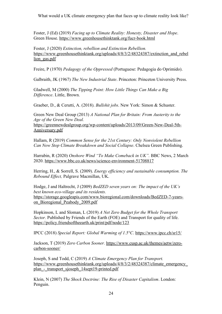Foster, J (Ed) (2019) *Facing up to Climate Reality: Honesty, Disaster and Hope*. Green House.<https://www.greenhousethinktank.org/fucr-book.html>

Foster, J (2020) *Extinction, rebellion and Extinction Rebellion.* [https://www.greenhousethinktank.org/uploads/4/8/3/2/48324387/extinction\\_and\\_rebel](https://www.greenhousethinktank.org/uploads/4/8/3/2/48324387/extinction_and_rebellion_gas.pdf) lion gas.pdf

Freire, P (1970) *Pedagogy of the Oppressed* (Portuguese: Pedagogia do Oprimido).

Galbraith, JK (1967) *The New Industrial State*. Princeton: Princeton University Press.

Gladwell, M (2000) *The Tipping Point: How Little Things Can Make a Big Difference*. Little, Brown.

Graeber, D., & Cerutti, A. (2018). *Bullshit jobs*. New York: Simon & Schuster.

Green New Deal Group (2013) *A National Plan for Britain: From Austerity to the Age of the Green New Deal.*

[https://greennewdealgroup.org/wp-content/uploads/2013/09/Green-New-Deal-5th-](https://greennewdealgroup.org/wp-content/uploads/2013/09/Green-New-Deal-5th-Anniversary.pdf)[Anniversary.pdf](https://greennewdealgroup.org/wp-content/uploads/2013/09/Green-New-Deal-5th-Anniversary.pdf)

Hallam, R (2019) *Common Sense for the 21st Century: Only Nonviolent Rebellion Can Now Stop Climate Breakdown and Social Collapse*. Chelsea Green Publishing.

Harrabin, R (2020) *Onshore Wind "To Make Comeback in UK".* BBC News, 2 March 2020.<https://www.bbc.co.uk/news/science-environment-51708817>

Herring, H., & Sorrell, S. (2009). *Energy efficiency and sustainable consumption. The Rebound Effect,* Palgrave Macmillan, UK.

Hodge, J and Haltrecht, J (2009) *BedZED seven years on: The impact of the UK's best known eco-village and its residents.*  [https://storage.googleapis.com/www.bioregional.com/downloads/BedZED-7-years](https://storage.googleapis.com/www.bioregional.com/downloads/BedZED-7-years-on_Bioregional_Peabody_2009.pdf)on Bioregional Peabody 2009.pdf

Hopkinson, L and Sloman, L (2019) *A Net Zero Budget for the Whole Transport Sector.* Published by Friends of the Earth (FOE) and Transport for quality of life. <https://policy.friendsoftheearth.uk/print/pdf/node/123>

IPCC (2018) *Special Report: Global Warming of 1.5°C*. <https://www.ipcc.ch/sr15/>

Jackson, T (2019) *Zero Carbon Sooner.* [https://www.cusp.ac.uk/themes/aetw/zero](https://www.cusp.ac.uk/themes/aetw/zero-carbon-sooner/)[carbon-sooner/](https://www.cusp.ac.uk/themes/aetw/zero-carbon-sooner/)

Joseph, S and Todd, C (2019) *A Climate Emergency Plan for Transport.* [https://www.greenhousethinktank.org/uploads/4/8/3/2/48324387/climate\\_emergency\\_](https://www.greenhousethinktank.org/uploads/4/8/3/2/48324387/climate_emergency_plan_-_transport_sjoseph_14sept19-printed.pdf) [plan\\_-\\_transport\\_sjoseph\\_14sept19-printed.pdf](https://www.greenhousethinktank.org/uploads/4/8/3/2/48324387/climate_emergency_plan_-_transport_sjoseph_14sept19-printed.pdf)

Klein, N (2007) *The Shock Doctrine: The Rise of Disaster Capitalism*. London: Penguin.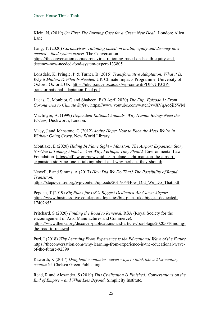Klein, N. (2019) *On Fire: The Burning Case for a Green New Deal.* London: Allen Lane.

Lang, T. (2020) *Coronavirus: rationing based on health, equity and decency now needed – food system expert.* The Conversation. [https://theconversation.com/coronavirus-rationing-based-on-health-equity-and](https://theconversation.com/coronavirus-rationing-based-on-health-equity-and-decency-now-needed-food-system-expert-133805)[decency-now-needed-food-system-expert-133805](https://theconversation.com/coronavirus-rationing-based-on-health-equity-and-decency-now-needed-food-system-expert-133805)

Lonsdale, K, Pringle, P & Turner, B (2015) *Transformative Adaptation: What it Is, Why it Matters & What Is Needed.* UK Climate Impacts Programme, University of Oxford, Oxford, UK. [https://ukcip.ouce.ox.ac.uk/wp-content/PDFs/UKCIP](https://ukcip.ouce.ox.ac.uk/wp-content/PDFs/UKCIP-transformational-adaptation-final.pdf)[transformational-adaptation-final.pdf](https://ukcip.ouce.ox.ac.uk/wp-content/PDFs/UKCIP-transformational-adaptation-final.pdf)

Lucas, C, Monbiot, G and Shaheen, F (9 April 2020) *The Flip, Episode 1: From Coronavirus to Climate Safety.* <https://www.youtube.com/watch?v=XVqAo5jI5WM>

MacIntyre, A. (1999) *Dependent Rational Animals: Why Human Beings Need the Virtues,* Duckworth, London.

Macy, J and Johnstone, C (2012) *Active Hope: How to Face the Mess We're in Without Going Crazy*. New World Library

Montlake, E (2020) *Hiding In Plane Sight – Manston: The Airport Expansion Story No-One Is Talking About … And Why, Perhaps, They Should.* Environmental Law Foundation. [https://elflaw.org/news/hiding-in-plane-sight-manston-the-airport](https://elflaw.org/news/hiding-in-plane-sight-manston-the-airport-expansion-story-no-one-is-talking-about-and-why-perhaps-they-should/)[expansion-story-no-one-is-talking-about-and-why-perhaps-they-should/](https://elflaw.org/news/hiding-in-plane-sight-manston-the-airport-expansion-story-no-one-is-talking-about-and-why-perhaps-they-should/)

Newell, P and Simms, A (2017) *How Did We Do That? The Possibility of Rapid Transition.*

[https://steps-centre.org/wp-content/uploads/2017/04/How\\_Did\\_We\\_Do\\_That.pdf](https://steps-centre.org/wp-content/uploads/2017/04/How_Did_We_Do_That.pdf)

Pegden, T (2019) *Big Plans for UK's Biggest Dedicated Air Cargo Airport.* [https://www.business-live.co.uk/ports-logistics/big-plans-uks-biggest-dedicated-](https://www.business-live.co.uk/ports-logistics/big-plans-uks-biggest-dedicated-17402653)[17402653](https://www.business-live.co.uk/ports-logistics/big-plans-uks-biggest-dedicated-17402653)

Pritchard, S (2020) *Finding the Road to Renewal.* RSA (Royal Society for the encouragement of Arts, Manufactures and Commerce)*.* [https://www.thersa.org/discover/publications-and-articles/rsa-blogs/2020/04/finding](https://www.thersa.org/discover/publications-and-articles/rsa-blogs/2020/04/finding-the-road-to-renewal)[the-road-to-renewal](https://www.thersa.org/discover/publications-and-articles/rsa-blogs/2020/04/finding-the-road-to-renewal)

Puri, I (2018) *Why Learning From Experience is the Educational Wave of the Future.* [https://theconversation.com/why-learning-from-experience-is-the-educational-wave](https://theconversation.com/why-learning-from-experience-is-the-educational-wave-of-the-future-92399)[of-the-future-92399](https://theconversation.com/why-learning-from-experience-is-the-educational-wave-of-the-future-92399)

Raworth, K (2017) *Doughnut economics: seven ways to think like a 21st-century economist*. Chelsea Green Publishing.

Read, R and Alexander, S (2019) *This Civilisation Is Finished: Conversations on the End of Empire – and What Lies Beyond*. Simplicity Institute.